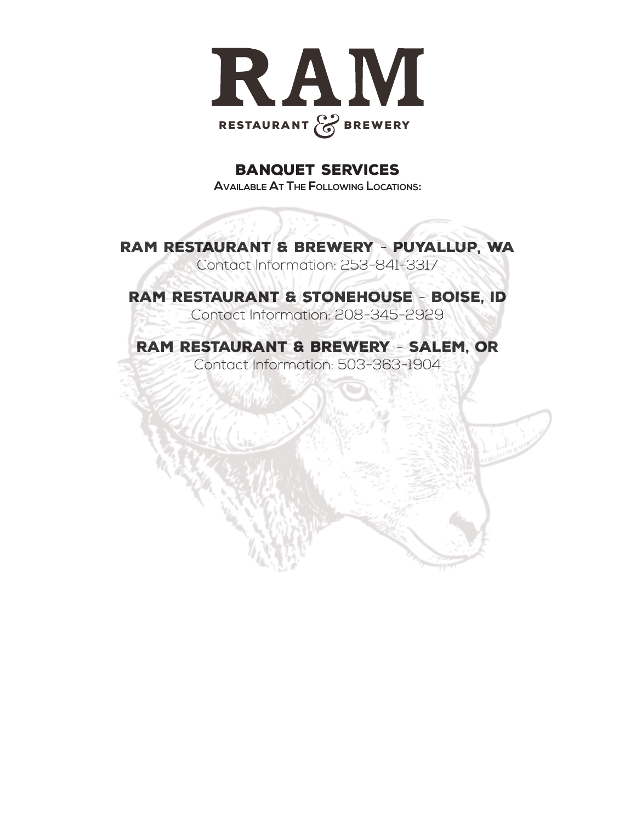

BANQUET SERVICES **AVAILABLE AT THE FOLLOWING LOCATIONS:** 

RAM RESTAURANT & BREWERY - PUYALLUP, WA Contact Information: 253-841-3317 Information:

RAM RESTAURANT & STONEHOUSE - BOISE, ID Contact Information: 208-345-2929

RAM RESTAURANT & BREWERY - SALEM, OR

Contact Information: 503-363-1904 Contact Information: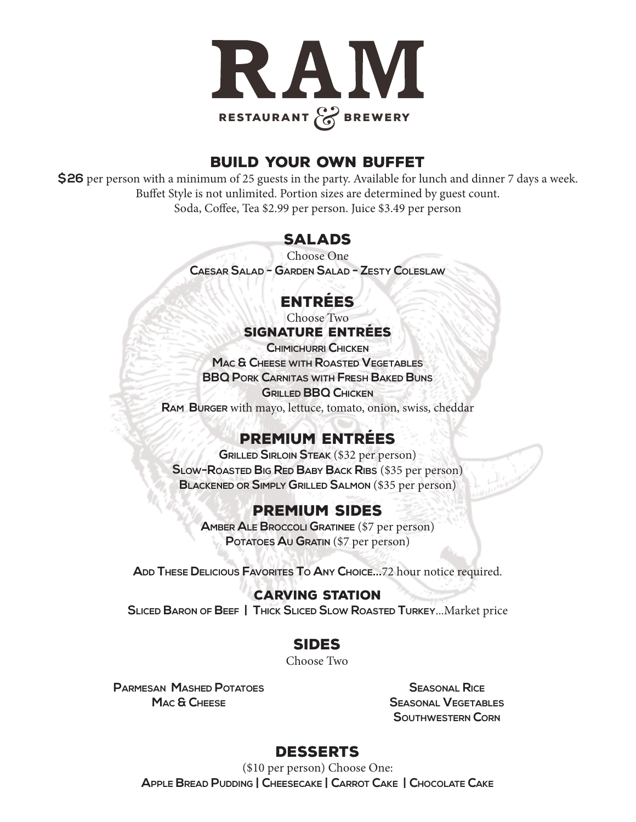

## Build Your Own Buffet

**\$26** per person with a minimum of 25 guests in the party. Available for lunch and dinner 7 days a week. Buffet Style is not unlimited. Portion sizes are determined by guest count. Soda, Coffee, Tea \$2.99 per person. Juice \$3.49 per person

### SALADS

Choose One **CAESAR SALAD - GARDEN SALAD - ZESTY COLESLAW**

# ENTRÉES

Choose Two

Signature Entrées **CHIMICHURRI CHICKEN MAC & CHEESE WITH ROASTED VEGETABLES BBQ PORK CARNITAS WITH FRESH BAKED BUNS GRILLED BBQ CHICKEN** RAM BURGER with mayo, lettuce, tomato, onion, swiss, cheddar

# Premium Entrées

**GRILLED SIRLOIN STEAK** (\$32 per person) **SLOW-ROASTED BIG RED BABY BACK RIBS** (\$35 per person) **BLACKENED OR SIMPLY GRILLED SALMON** (\$35 per person)

# Premium SIDES

**AMBER ALE BROCCOLI GRATINEE** (\$7 per person) **POTATOES AU GRATIN** (\$7 per person)

**ADD THESE DELICIOUS FAVORITES TO ANY CHOICE...**72 hour notice required.

## **CARVING STATION**

**SLICED BARON OF BEEF | THICK SLICED SLOW ROASTED TURKEY**...Market price

## **SIDES**

Choose Two

**PARMESAN MASHED POTATOES MAC & CHEESE MAC & CHEESE**

**SEASONAL RICE SEASONAL VEGETABLES SOUTHWESTERN CORN SOUTHWESTERN CORN**

## DESSERTS

(\$10 per person) Choose One: APPLE BREAD PUDDING | CHEESECAKE | CARROT CAKE | CHOCOLATE CAKE **APPLE BREAD PUDDING | CHEESECAKE | CARROT CAKE | CHOCOLATE CAKE**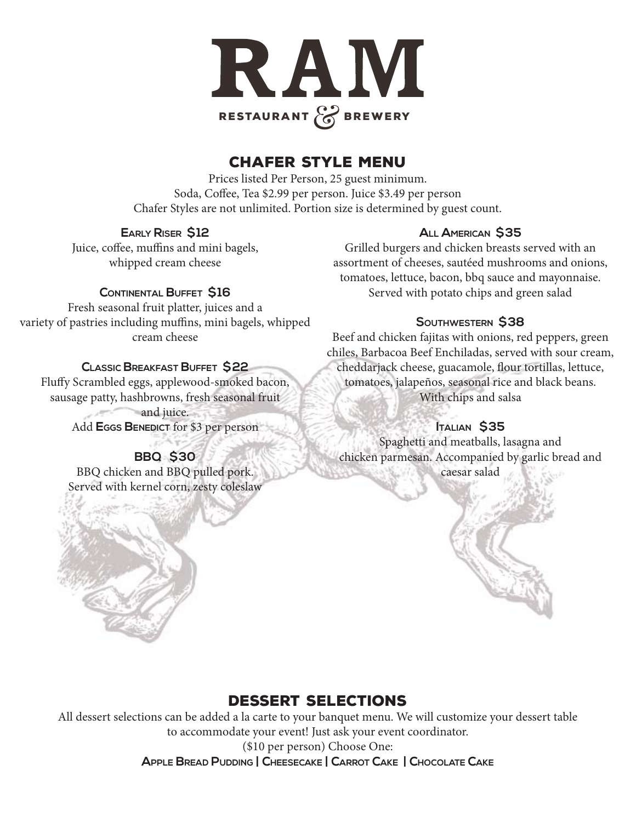

# Chafer Style Menu

Prices listed Per Person, 25 guest minimum. Soda, Coffee, Tea \$2.99 per person. Juice \$3.49 per person Chafer Styles are not unlimited. Portion size is determined by guest count.

Juice, coffee, muffins and mini bagels, whipped cream cheese

Grilled burgers and chicken breasts served with an assortment of cheeses, sautéed mushrooms and onions, tomatoes, lettuce, bacon, bbq sauce and mayonnaise. Served with potato chips and green salad

Beef and chicken fajitas with onions, red peppers, green chiles, Barbacoa Beef Enchiladas, served with sour cream, cheddarjack cheese, guacamole, flour tortillas, lettuce, tomatoes, jalapeños, seasonal rice and black beans. With chips and salsa

Spaghetti and meatballs, lasagna and chicken parmesan. Accompanied by garlic bread and caesar salad

Fresh seasonal fruit platter, juices and a variety of pastries including muffins, mini bagels, whipped cream cheese

Fluffy Scrambled eggs, applewood-smoked bacon, sausage patty, hashbrowns, fresh seasonal fruit

> and juice. Add **EGGS BENEDICT** for \$3 per person

BBQ chicken and BBQ pulled pork. Served with kernel corn, zesty coleslaw

## Dessert Selections

All dessert selections can be added a la carte to your banquet menu. We will customize your dessert table to accommodate your event! Just ask your event coordinator.

(\$10 per person) Choose One:

**APPLE BREAD PUDDING | CHEESECAKE | CARROT CAKE | CHOCOLATE CAKE**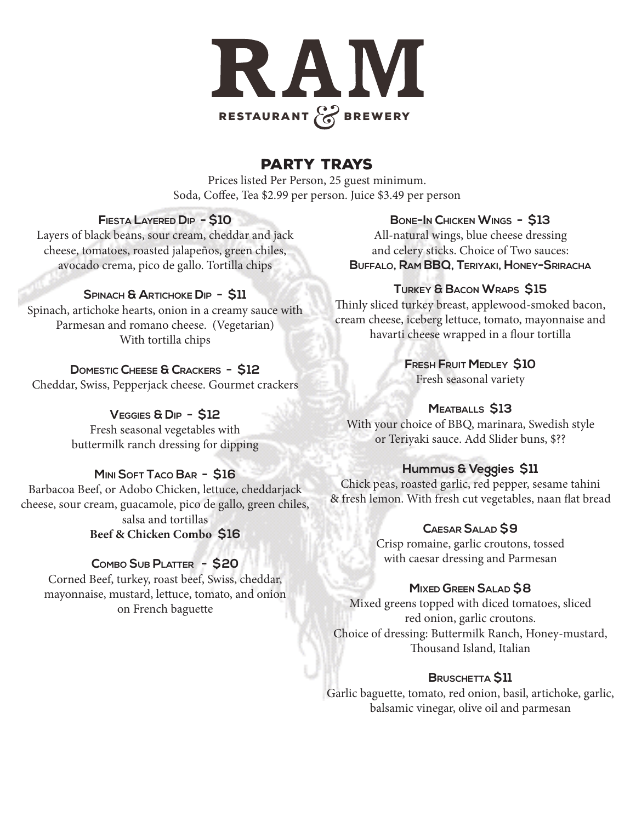

## Party Trays

Prices listed Per Person, 25 guest minimum. Soda, Coffee, Tea \$2.99 per person. Juice \$3.49 per person

Layers of black beans, sour cream, cheddar and jack cheese, tomatoes, roasted jalapeños, green chiles, avocado crema, pico de gallo. Tortilla chips

### SPINACH & ARTICHOKE DIP - S11

Spinach, artichoke hearts, onion in a creamy sauce with Parmesan and romano cheese. (Vegetarian) With tortilla chips

**DOMESTIC CHEESE & CRACKERS - \$12** Cheddar, Swiss, Pepperjack cheese. Gourmet crackers

Fresh seasonal vegetables with buttermilk ranch dressing for dipping

Barbacoa Beef, or Adobo Chicken, lettuce, cheddarjack cheese, sour cream, guacamole, pico de gallo, green chiles, salsa and tortillas **Beef & Chicken Combo \$16**

Corned Beef, turkey, roast beef, Swiss, cheddar, mayonnaise, mustard, lettuce, tomato, and onion on French baguette

**BONE-IN CHICKEN WINGS - \$13** All-natural wings, blue cheese dressing and celery sticks. Choice of Two sauces: **BUFFALO, RAM BEQ, TERITARY SPEED AND THE SPEED AND THE SPEED AND THE SPEED AND THE SPEED AND THE SPEED AND THE SPEED AND THE SPEED AND THE SPEED AND THE SPEED AND THE SPEED AND THE SPEED AND THE SPEED AND THE SPEED AND TH** 

Thinly sliced turkey breast, applewood-smoked bacon, cream cheese, iceberg lettuce, tomato, mayonnaise and havarti cheese wrapped in a flour tortilla

Fresh seasonal variety

With your choice of BBQ, marinara, Swedish style or Teriyaki sauce. Add Slider buns, \$??

Chick peas, roasted garlic, red pepper, sesame tahini & fresh lemon. With fresh cut vegetables, naan flat bread

### CAESAR SALAD S9

Crisp romaine, garlic croutons, tossed with caesar dressing and Parmesan

Mixed greens topped with diced tomatoes, sliced red onion, garlic croutons. Choice of dressing: Buttermilk Ranch, Honey-mustard, Thousand Island, Italian

Garlic baguette, tomato, red onion, basil, artichoke, garlic, balsamic vinegar, olive oil and parmesan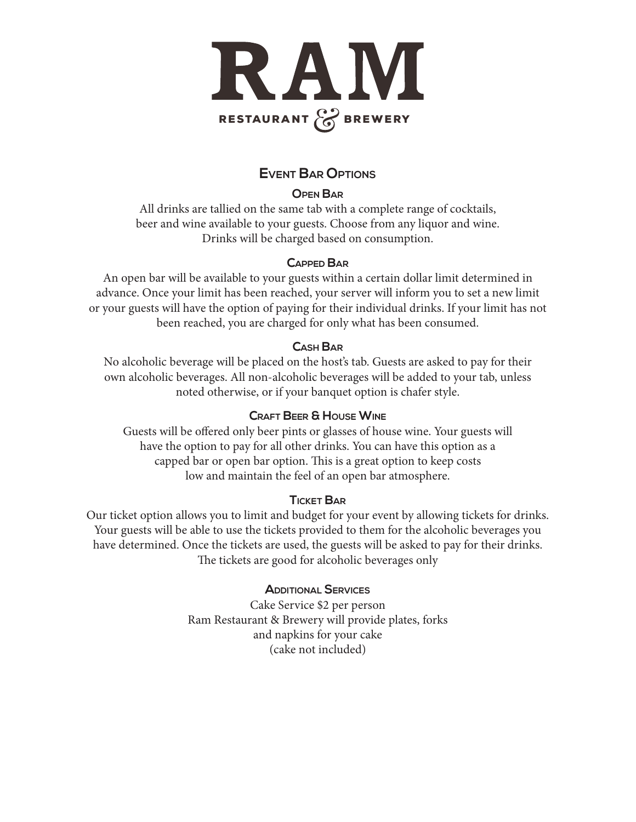

### **EVENT BAR OPTIONS**

### **OPEN BAR**

All drinks are tallied on the same tab with a complete range of cocktails, beer and wine available to your guests. Choose from any liquor and wine. Drinks will be charged based on consumption.

An open bar will be available to your guests within a certain dollar limit determined in advance. Once your limit has been reached, your server will inform you to set a new limit or your guests will have the option of paying for their individual drinks. If your limit has not been reached, you are charged for only what has been consumed.

No alcoholic beverage will be placed on the host's tab. Guests are asked to pay for their own alcoholic beverages. All non-alcoholic beverages will be added to your tab, unless noted otherwise, or if your banquet option is chafer style.

Guests will be offered only beer pints or glasses of house wine. Your guests will have the option to pay for all other drinks. You can have this option as a capped bar or open bar option. This is a great option to keep costs low and maintain the feel of an open bar atmosphere.

Our ticket option allows you to limit and budget for your event by allowing tickets for drinks. Your guests will be able to use the tickets provided to them for the alcoholic beverages you have determined. Once the tickets are used, the guests will be asked to pay for their drinks. The tickets are good for alcoholic beverages only

### **ADDITIONAL SERVICES**

**ADDITIONAL SERVICES** Cake Service \$2 per person Ram Restaurant & Brewery will provide plates, forks and napkins for your cake (cake not included)